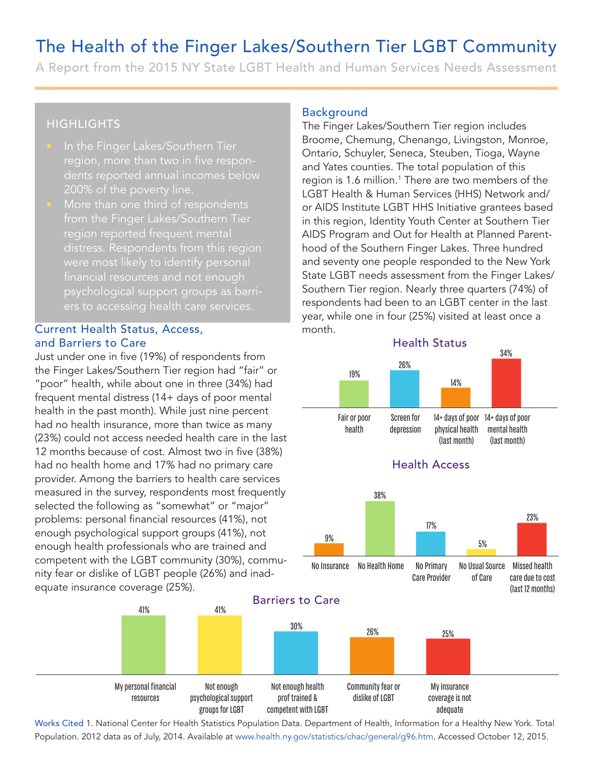## The Health of the Finger Lakes/Southern Tier LGBT Community

A Report from the 2015 NY State LGBT Health and Human Services Needs Assessment

### **HIGHLIGHTS**

- region, more than two in five respondents reported annual incomes below 200% of the poverty line.
- More than one third of respondents from the Finger Lakes/Southern Tier region reported frequent mental distress. Respondents from this region financial resources and not enough psychological support groups as barri-

### Current Health Status, Access, and Barriers to Care

The unit of the summation of the space of the space of the station (separation of the station of the station of the station of the station of the station of the station of the station of the station of the station of the Just under one in five (19%) of respondents from the Finger Lakes/Southern Tier region had "fair" or "poor" health, while about one in three (34%) had frequent mental distress (14+ days of poor mental health in the past month). While just nine percent had no health insurance, more than twice as many (23%) could not access needed health care in the last 12 months because of cost. Almost two in five (38%) had no health home and 17% had no primary care provider. Among the barriers to health care services measured in the survey, respondents most frequently selected the following as "somewhat" or "major" problems: personal financial resources (41%), not enough psychological support groups (41%), not enough health professionals who are trained and competent with the LGBT community (30%), community fear or dislike of LGBT people (26%) and inadequate insurance coverage (25%).

#### Background

The Finger Lakes/Southern Tier region includes Broome, Chemung, Chenango, Livingston, Monroe, Ontario, Schuyler, Seneca, Steuben, Tioga, Wayne and Yates counties. The total population of this region is 1.6 million.<sup>1</sup> There are two members of the LGBT Health & Human Services (HHS) Network and/ or AIDS Institute LGBT HHS Initiative grantees based in this region, Identity Youth Center at Southern Tier AIDS Program and Out for Health at Planned Parenthood of the Southern Finger Lakes. Three hundred and seventy one people responded to the New York State LGBT needs assessment from the Finger Lakes/ Southern Tier region. Nearly three quarters (74%) of respondents had been to an LGBT center in the last year, while one in four (25%) visited at least once a month. come, Chemung<br>
Finger Lakes/Some, Chemung<br>
cario, Schuyler, Yates counties<br>
1997 Health & Hu<br>
1997 Health & Hu<br>
1997 Health & Hu<br>
1997 Seventy one p<br>
1998 Health<br>
1998 Alle one in 1<br>
1998 Program and b<br>
1998 Program and b<br> and<br>
Inchernation of the same of the distant of the same of the distant of the distant of the columions. The total population of this counties.<br>
Counties. The total population of this experiment of the distant of the same

# Abood of the Southern Finger Lakes. Three hundred<br>
and seventy one people responded to the New York<br>
State LGBT needs assessment from the Finger Lakes/<br>
Southern Tier region. Nearly three quarters (74%) of<br>
respondents had Health Status 38% Health Access 14+ days of poor 14+ days of poor mental health (last month) physical health (last month) Screen for depression Fair or poor health 26% 14% 34%



coverage is not adequate

dislike of LGBT

My personal financial resources Not enough health prof trained & competent with LGBT Not enough psychological support groups for LGBT

41% 41%

Works Cited 1. National Center for Health Statistics Population Data. Department of Health, Information for a Healthy New York. Total Population. 2012 data as of July, 2014. Available at www.health.ny.gov/statistics/chac/general/g96.htm. Accessed October 12, 2015.